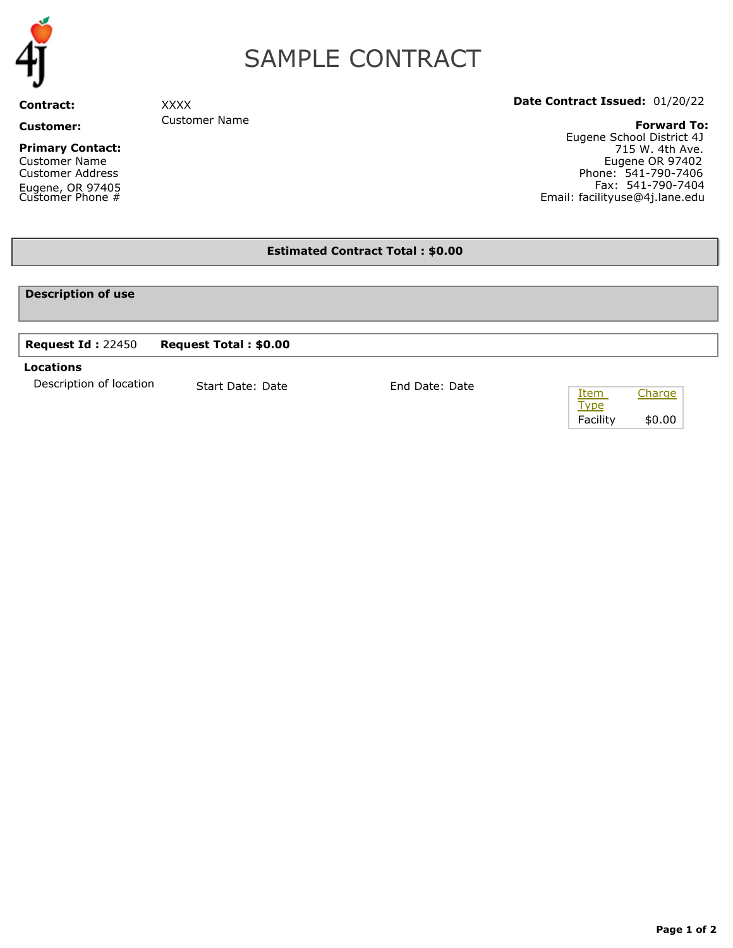

# SAMPLE CONTRACT

**Contract:** 

**Customer:** 

#### **Primary Contact:**

Customer Name Customer Address Eugene, OR 97405 Customer Phone #

## **Date Contract Issued:** 01/20/22

**Forward To:**

Eugene School District 4J 715 W. 4th Ave. Eugene OR 97402 Phone: 541-790-7406 Fax: 541-790-7404 Email: facilityuse@4j.lane.edu

## **Estimated Contract Total : \$0.00**

### **Description of use**

## **Request Id :** 22450 **Request Total : \$0.00**

XXXX

Customer Name

#### **Locations**

Description of location Start Date: Date Find Date: Date

| Item        | Charge |
|-------------|--------|
| <b>Type</b> |        |
| Facility    | \$0.00 |